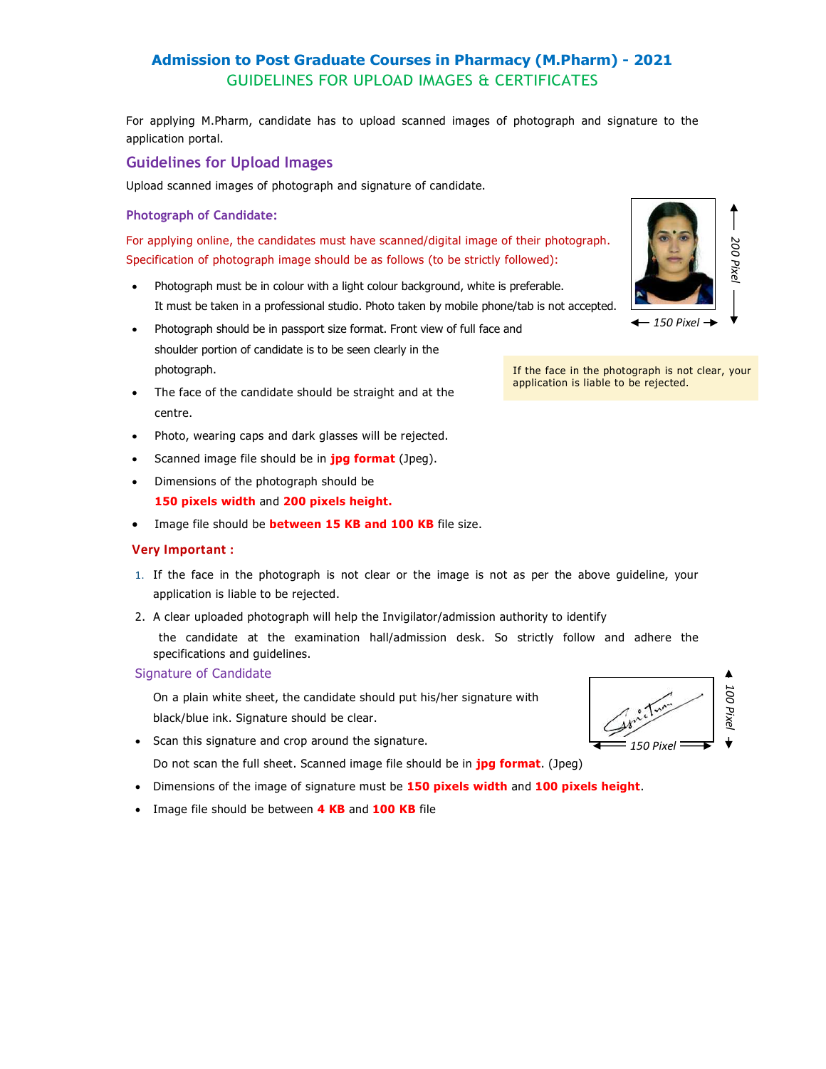# Admission to Post Graduate Courses in Pharmacy (M.Pharm) - 2021 GUIDELINES FOR UPLOAD IMAGES & CERTIFICATES

For applying M.Pharm, candidate has to upload scanned images of photograph and signature to the application portal.

## Guidelines for Upload Images

Upload scanned images of photograph and signature of candidate.

#### Photograph of Candidate:

For applying online, the candidates must have scanned/digital image of their photograph. Specification of photograph image should be as follows (to be strictly followed):

- Photograph must be in colour with a light colour background, white is preferable. It must be taken in a professional studio. Photo taken by mobile phone/tab is not accepted.
- Photograph should be in passport size format. Front view of full face and shoulder portion of candidate is to be seen clearly in the photograph. If the face in the photograph is not clear, your
- The face of the candidate should be straight and at the **replusive application is liable to be rejected.** centre.
- Photo, wearing caps and dark glasses will be rejected.
- Scanned image file should be in **jpg format** (Jpeg).
- Dimensions of the photograph should be 150 pixels width and 200 pixels height.
- Image file should be **between 15 KB and 100 KB** file size.

### Very Important :

- 1. If the face in the photograph is not clear or the image is not as per the above guideline, your application is liable to be rejected.
- 2. A clear uploaded photograph will help the Invigilator/admission authority to identify

 the candidate at the examination hall/admission desk. So strictly follow and adhere the specifications and guidelines.

#### Signature of Candidate

On a plain white sheet, the candidate should put his/her signature with black/blue ink. Signature should be clear.

• Scan this signature and crop around the signature.

Do not scan the full sheet. Scanned image file should be in **jpg format**. (Jpeg)

- Dimensions of the image of signature must be 150 pixels width and 100 pixels height.
- Image file should be between 4 KB and 100 KB file





 $-150$  Pixel  $\rightarrow$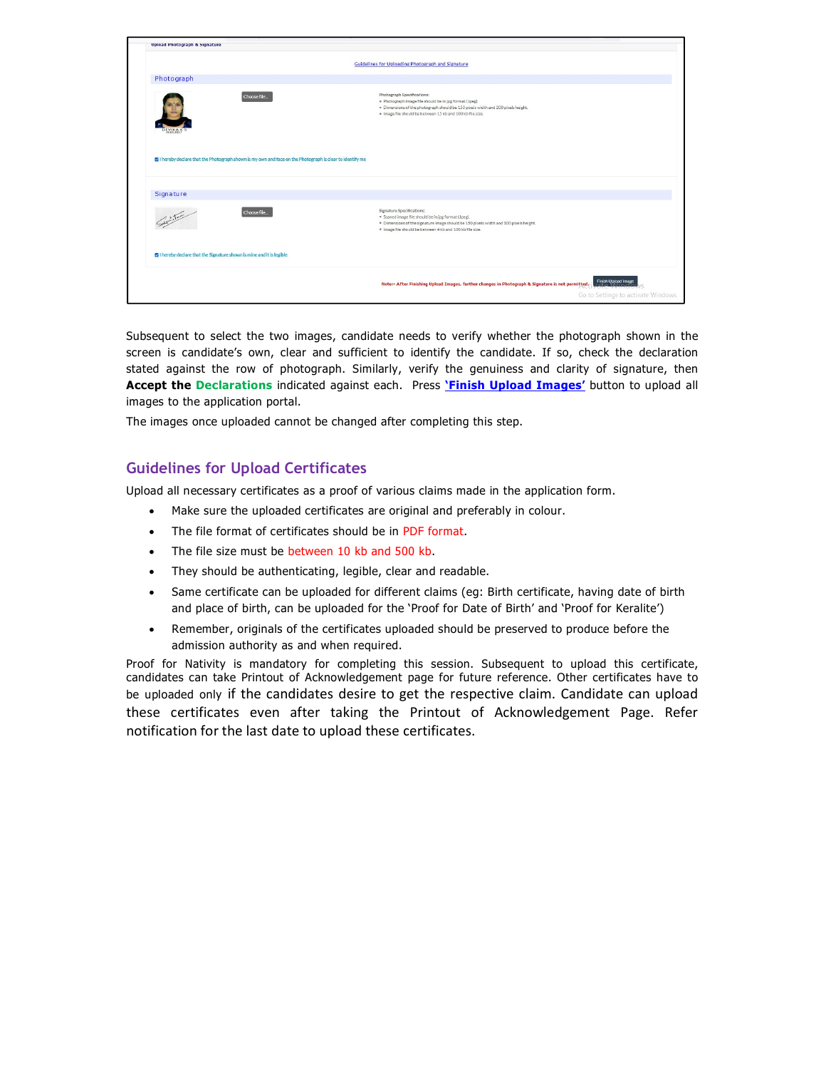|                                                                                                         | Guidelines for Uploading Photograph and Signature                                                                                                                                                                                                             |  |  |  |
|---------------------------------------------------------------------------------------------------------|---------------------------------------------------------------------------------------------------------------------------------------------------------------------------------------------------------------------------------------------------------------|--|--|--|
| Photograph                                                                                              |                                                                                                                                                                                                                                                               |  |  |  |
|                                                                                                         | <b>Photograph Specifications:</b><br>Choose file<br>· Photograph image file should be in jpg format (Jpeg).<br>. Dimensions of the photograph should be 150 pixels width and 200 pixels height.<br>. Image file should be between 15 kb and 100 kb file size. |  |  |  |
| Intereby declare that the Photograph shown is my own and face on the Photograph is clear to identify me |                                                                                                                                                                                                                                                               |  |  |  |
|                                                                                                         |                                                                                                                                                                                                                                                               |  |  |  |
| Signature<br>striction                                                                                  | Signature Specifications:<br>Choose file<br>* Scaned image file should be in jpg format (Jpeg).<br>. Dimensions of the signature image should be 150 pixels width and 100 pixels height.<br>. Image file should be between 4 kb and 100 kb file size.         |  |  |  |
| 2 I hereby declare that the Signature shown is mine and it is legible                                   |                                                                                                                                                                                                                                                               |  |  |  |
|                                                                                                         | Note:- After Finishing Upload Images, further changes in Photograph & Signature is not permitted: Finish Upload Image<br>Go to Settings to activate Windows.                                                                                                  |  |  |  |

Subsequent to select the two images, candidate needs to verify whether the photograph shown in the screen is candidate's own, clear and sufficient to identify the candidate. If so, check the declaration stated against the row of photograph. Similarly, verify the genuiness and clarity of signature, then Accept the Declarations indicated against each. Press '*Finish Upload Images'* button to upload all images to the application portal.

The images once uploaded cannot be changed after completing this step.

# Guidelines for Upload Certificates

Upload all necessary certificates as a proof of various claims made in the application form.

- Make sure the uploaded certificates are original and preferably in colour.
- The file format of certificates should be in PDF format.
- The file size must be between 10 kb and 500 kb.
- They should be authenticating, legible, clear and readable.
- Same certificate can be uploaded for different claims (eg: Birth certificate, having date of birth and place of birth, can be uploaded for the 'Proof for Date of Birth' and 'Proof for Keralite')
- Remember, originals of the certificates uploaded should be preserved to produce before the admission authority as and when required.

Proof for Nativity is mandatory for completing this session. Subsequent to upload this certificate, candidates can take Printout of Acknowledgement page for future reference. Other certificates have to be uploaded only if the candidates desire to get the respective claim. Candidate can upload these certificates even after taking the Printout of Acknowledgement Page. Refer notification for the last date to upload these certificates.